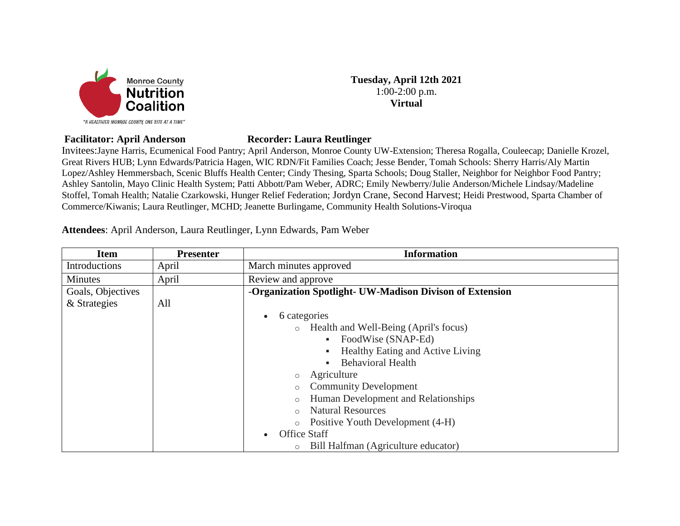

**Tuesday, April 12th 2021** 1:00-2:00 p.m. **Virtual**

## **Facilitator: April Anderson Recorder: Laura Reutlinger**

Invitees:Jayne Harris, Ecumenical Food Pantry; April Anderson, Monroe County UW-Extension; Theresa Rogalla, Couleecap; Danielle Krozel, Great Rivers HUB; Lynn Edwards/Patricia Hagen, WIC RDN/Fit Families Coach; Jesse Bender, Tomah Schools: Sherry Harris/Aly Martin Lopez/Ashley Hemmersbach, Scenic Bluffs Health Center; Cindy Thesing, Sparta Schools; Doug Staller, Neighbor for Neighbor Food Pantry; Ashley Santolin, Mayo Clinic Health System; Patti Abbott/Pam Weber, ADRC; Emily Newberry/Julie Anderson/Michele Lindsay/Madeline Stoffel, Tomah Health; Natalie Czarkowski, Hunger Relief Federation; Jordyn Crane, Second Harvest; Heidi Prestwood, Sparta Chamber of Commerce/Kiwanis; Laura Reutlinger, MCHD; Jeanette Burlingame, Community Health Solutions-Viroqua

**Attendees**: April Anderson, Laura Reutlinger, Lynn Edwards, Pam Weber

| Item              | <b>Presenter</b> | <b>Information</b>                                       |
|-------------------|------------------|----------------------------------------------------------|
| Introductions     | April            | March minutes approved                                   |
| Minutes           | April            | Review and approve                                       |
| Goals, Objectives |                  | -Organization Spotlight- UW-Madison Divison of Extension |
| & Strategies      | All              |                                                          |
|                   |                  | 6 categories<br>$\bullet$                                |
|                   |                  | Health and Well-Being (April's focus)<br>$\circ$         |
|                   |                  | FoodWise (SNAP-Ed)<br>٠                                  |
|                   |                  | Healthy Eating and Active Living<br>٠                    |
|                   |                  | <b>Behavioral Health</b><br>٠                            |
|                   |                  | Agriculture<br>$\circ$                                   |
|                   |                  | <b>Community Development</b><br>$\circ$                  |
|                   |                  | Human Development and Relationships<br>$\circ$           |
|                   |                  | <b>Natural Resources</b><br>$\circ$                      |
|                   |                  | Positive Youth Development (4-H)<br>$\circ$              |
|                   |                  | <b>Office Staff</b><br>$\bullet$                         |
|                   |                  | Bill Halfman (Agriculture educator)<br>$\circ$           |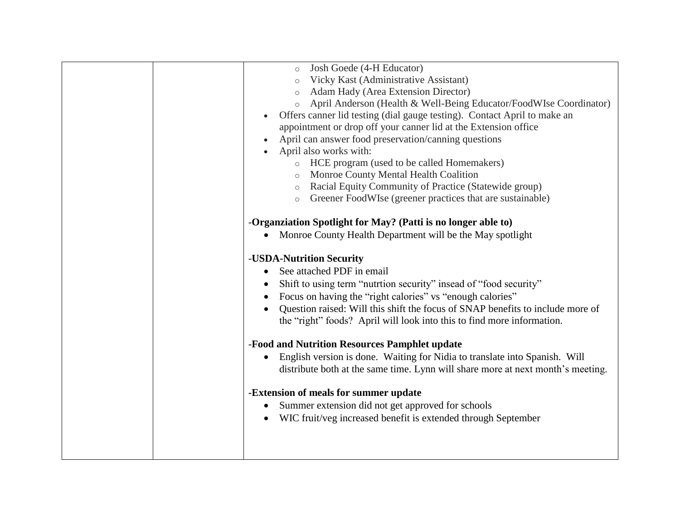| Josh Goede (4-H Educator)<br>Vicky Kast (Administrative Assistant)<br><b>Adam Hady (Area Extension Director)</b><br>April Anderson (Health & Well-Being Educator/FoodWIse Coordinator)<br>$\circ$<br>Offers canner lid testing (dial gauge testing). Contact April to make an<br>appointment or drop off your canner lid at the Extension office<br>April can answer food preservation/canning questions<br>April also works with:<br>o HCE program (used to be called Homemakers)<br><b>Monroe County Mental Health Coalition</b><br>o Racial Equity Community of Practice (Statewide group)<br>Greener FoodWIse (greener practices that are sustainable)<br>$\circ$<br>-Organziation Spotlight for May? (Patti is no longer able to)<br>Monroe County Health Department will be the May spotlight<br>-USDA-Nutrition Security<br>See attached PDF in email<br>Shift to using term "nutrtion security" insead of "food security"<br>$\bullet$<br>Focus on having the "right calories" vs "enough calories"<br>Question raised: Will this shift the focus of SNAP benefits to include more of |
|-----------------------------------------------------------------------------------------------------------------------------------------------------------------------------------------------------------------------------------------------------------------------------------------------------------------------------------------------------------------------------------------------------------------------------------------------------------------------------------------------------------------------------------------------------------------------------------------------------------------------------------------------------------------------------------------------------------------------------------------------------------------------------------------------------------------------------------------------------------------------------------------------------------------------------------------------------------------------------------------------------------------------------------------------------------------------------------------------|
|                                                                                                                                                                                                                                                                                                                                                                                                                                                                                                                                                                                                                                                                                                                                                                                                                                                                                                                                                                                                                                                                                               |
|                                                                                                                                                                                                                                                                                                                                                                                                                                                                                                                                                                                                                                                                                                                                                                                                                                                                                                                                                                                                                                                                                               |
|                                                                                                                                                                                                                                                                                                                                                                                                                                                                                                                                                                                                                                                                                                                                                                                                                                                                                                                                                                                                                                                                                               |
|                                                                                                                                                                                                                                                                                                                                                                                                                                                                                                                                                                                                                                                                                                                                                                                                                                                                                                                                                                                                                                                                                               |
|                                                                                                                                                                                                                                                                                                                                                                                                                                                                                                                                                                                                                                                                                                                                                                                                                                                                                                                                                                                                                                                                                               |
|                                                                                                                                                                                                                                                                                                                                                                                                                                                                                                                                                                                                                                                                                                                                                                                                                                                                                                                                                                                                                                                                                               |
|                                                                                                                                                                                                                                                                                                                                                                                                                                                                                                                                                                                                                                                                                                                                                                                                                                                                                                                                                                                                                                                                                               |
|                                                                                                                                                                                                                                                                                                                                                                                                                                                                                                                                                                                                                                                                                                                                                                                                                                                                                                                                                                                                                                                                                               |
|                                                                                                                                                                                                                                                                                                                                                                                                                                                                                                                                                                                                                                                                                                                                                                                                                                                                                                                                                                                                                                                                                               |
|                                                                                                                                                                                                                                                                                                                                                                                                                                                                                                                                                                                                                                                                                                                                                                                                                                                                                                                                                                                                                                                                                               |
|                                                                                                                                                                                                                                                                                                                                                                                                                                                                                                                                                                                                                                                                                                                                                                                                                                                                                                                                                                                                                                                                                               |
|                                                                                                                                                                                                                                                                                                                                                                                                                                                                                                                                                                                                                                                                                                                                                                                                                                                                                                                                                                                                                                                                                               |
|                                                                                                                                                                                                                                                                                                                                                                                                                                                                                                                                                                                                                                                                                                                                                                                                                                                                                                                                                                                                                                                                                               |
|                                                                                                                                                                                                                                                                                                                                                                                                                                                                                                                                                                                                                                                                                                                                                                                                                                                                                                                                                                                                                                                                                               |
|                                                                                                                                                                                                                                                                                                                                                                                                                                                                                                                                                                                                                                                                                                                                                                                                                                                                                                                                                                                                                                                                                               |
| the "right" foods? April will look into this to find more information.                                                                                                                                                                                                                                                                                                                                                                                                                                                                                                                                                                                                                                                                                                                                                                                                                                                                                                                                                                                                                        |
|                                                                                                                                                                                                                                                                                                                                                                                                                                                                                                                                                                                                                                                                                                                                                                                                                                                                                                                                                                                                                                                                                               |
| -Food and Nutrition Resources Pamphlet update                                                                                                                                                                                                                                                                                                                                                                                                                                                                                                                                                                                                                                                                                                                                                                                                                                                                                                                                                                                                                                                 |
| English version is done. Waiting for Nidia to translate into Spanish. Will<br>$\bullet$                                                                                                                                                                                                                                                                                                                                                                                                                                                                                                                                                                                                                                                                                                                                                                                                                                                                                                                                                                                                       |
| distribute both at the same time. Lynn will share more at next month's meeting.                                                                                                                                                                                                                                                                                                                                                                                                                                                                                                                                                                                                                                                                                                                                                                                                                                                                                                                                                                                                               |
|                                                                                                                                                                                                                                                                                                                                                                                                                                                                                                                                                                                                                                                                                                                                                                                                                                                                                                                                                                                                                                                                                               |
| -Extension of meals for summer update                                                                                                                                                                                                                                                                                                                                                                                                                                                                                                                                                                                                                                                                                                                                                                                                                                                                                                                                                                                                                                                         |
| Summer extension did not get approved for schools<br>$\bullet$                                                                                                                                                                                                                                                                                                                                                                                                                                                                                                                                                                                                                                                                                                                                                                                                                                                                                                                                                                                                                                |
|                                                                                                                                                                                                                                                                                                                                                                                                                                                                                                                                                                                                                                                                                                                                                                                                                                                                                                                                                                                                                                                                                               |
| • WIC fruit/veg increased benefit is extended through September                                                                                                                                                                                                                                                                                                                                                                                                                                                                                                                                                                                                                                                                                                                                                                                                                                                                                                                                                                                                                               |
|                                                                                                                                                                                                                                                                                                                                                                                                                                                                                                                                                                                                                                                                                                                                                                                                                                                                                                                                                                                                                                                                                               |
|                                                                                                                                                                                                                                                                                                                                                                                                                                                                                                                                                                                                                                                                                                                                                                                                                                                                                                                                                                                                                                                                                               |
|                                                                                                                                                                                                                                                                                                                                                                                                                                                                                                                                                                                                                                                                                                                                                                                                                                                                                                                                                                                                                                                                                               |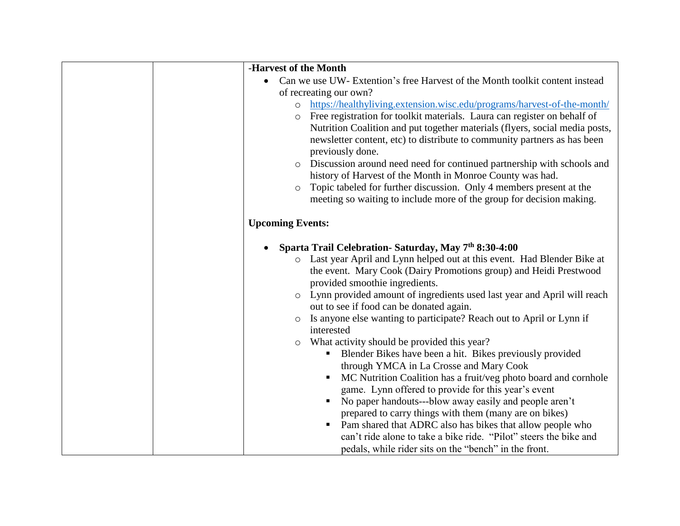| -Harvest of the Month                                                                                                          |
|--------------------------------------------------------------------------------------------------------------------------------|
| Can we use UW- Extention's free Harvest of the Month toolkit content instead<br>$\bullet$                                      |
| of recreating our own?                                                                                                         |
| https://healthyliving.extension.wisc.edu/programs/harvest-of-the-month/<br>$\circ$                                             |
| Free registration for toolkit materials. Laura can register on behalf of<br>$\circ$                                            |
| Nutrition Coalition and put together materials (flyers, social media posts,                                                    |
| newsletter content, etc) to distribute to community partners as has been                                                       |
| previously done.                                                                                                               |
| Discussion around need need for continued partnership with schools and<br>$\circ$                                              |
| history of Harvest of the Month in Monroe County was had.                                                                      |
| Topic tabeled for further discussion. Only 4 members present at the<br>$\circ$                                                 |
| meeting so waiting to include more of the group for decision making.                                                           |
| <b>Upcoming Events:</b>                                                                                                        |
|                                                                                                                                |
| Sparta Trail Celebration- Saturday, May 7th 8:30-4:00<br>$\bullet$                                                             |
| o Last year April and Lynn helped out at this event. Had Blender Bike at                                                       |
| the event. Mary Cook (Dairy Promotions group) and Heidi Prestwood                                                              |
| provided smoothie ingredients.                                                                                                 |
| o Lynn provided amount of ingredients used last year and April will reach                                                      |
| out to see if food can be donated again.                                                                                       |
| Is anyone else wanting to participate? Reach out to April or Lynn if<br>$\circ$                                                |
| interested                                                                                                                     |
| What activity should be provided this year?<br>$\circ$                                                                         |
| Blender Bikes have been a hit. Bikes previously provided                                                                       |
| through YMCA in La Crosse and Mary Cook                                                                                        |
| MC Nutrition Coalition has a fruit/veg photo board and cornhole<br>$\blacksquare$                                              |
| game. Lynn offered to provide for this year's event                                                                            |
| No paper handouts---blow away easily and people aren't                                                                         |
| prepared to carry things with them (many are on bikes)<br>$\blacksquare$                                                       |
| Pam shared that ADRC also has bikes that allow people who<br>can't ride alone to take a bike ride. "Pilot" steers the bike and |
| pedals, while rider sits on the "bench" in the front.                                                                          |
|                                                                                                                                |